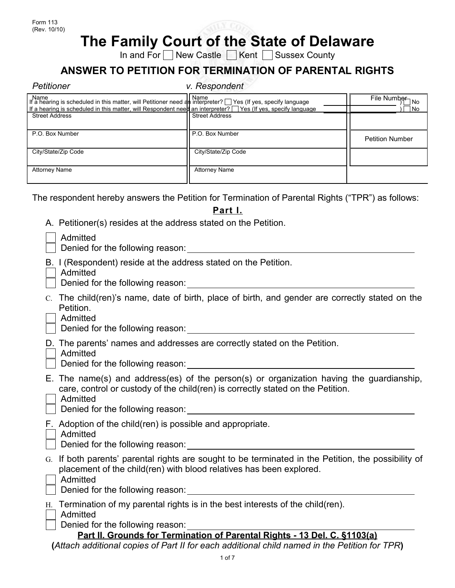## **The Family Court of the State of Delaware**

In and For | New Castle | Kent | Sussex County

## **ANSWER TO PETITION FOR TERMINATION OF PARENTAL RIGHTS**

| <b>Petitioner</b>                                                                                                                                                                                                                                                     | v. Respondent         |                                  |  |  |
|-----------------------------------------------------------------------------------------------------------------------------------------------------------------------------------------------------------------------------------------------------------------------|-----------------------|----------------------------------|--|--|
| Name<br>  It a hearing is scheduled in this matter, will Petitioner need an interpreter? □ Yes (If yes, specify language<br>If a hearing is scheduled in this matter, will Respondent need an interpreter?     Yes (If yes, specify language<br><b>Street Address</b> | <b>Street Address</b> | File Number<br><b>No</b><br>l No |  |  |
| P.O. Box Number                                                                                                                                                                                                                                                       | P.O. Box Number       | <b>Petition Number</b>           |  |  |
| City/State/Zip Code                                                                                                                                                                                                                                                   | City/State/Zip Code   |                                  |  |  |
| <b>Attorney Name</b>                                                                                                                                                                                                                                                  | <b>Attorney Name</b>  |                                  |  |  |
| The respondent hereby answers the Petition for Termination of Parental Rights ("TPR") as follows:                                                                                                                                                                     |                       |                                  |  |  |

The respondent hereby answers the Petition for Termination of Parental Rights ("TPR") as follows:

**Part I.**

| A. Petitioner(s) resides at the address stated on the Petition.                                                                                                                                                                                                                                                                                            |
|------------------------------------------------------------------------------------------------------------------------------------------------------------------------------------------------------------------------------------------------------------------------------------------------------------------------------------------------------------|
| Admitted<br>Denied for the following reason:                                                                                                                                                                                                                                                                                                               |
| B. I (Respondent) reside at the address stated on the Petition.<br>Admitted                                                                                                                                                                                                                                                                                |
| C. The child(ren)'s name, date of birth, place of birth, and gender are correctly stated on the<br>Petition.<br>Admitted<br>Denied for the following reason: North Contract to the contract of the contract of the contract of the contract of the contract of the contract of the contract of the contract of the contract of the contract of the contrac |
| D. The parents' names and addresses are correctly stated on the Petition.<br>Admitted<br>Denied for the following reason:                                                                                                                                                                                                                                  |
| E. The name(s) and address(es) of the person(s) or organization having the guardianship,<br>care, control or custody of the child(ren) is correctly stated on the Petition.<br>Admitted<br>Denied for the following reason:                                                                                                                                |
| F. Adoption of the child(ren) is possible and appropriate.<br>Admitted<br>Denied for the following reason:                                                                                                                                                                                                                                                 |
| G. If both parents' parental rights are sought to be terminated in the Petition, the possibility of<br>placement of the child(ren) with blood relatives has been explored.<br>Admitted<br>Denied for the following reason:                                                                                                                                 |
| H. Termination of my parental rights is in the best interests of the child(ren).<br>Admitted<br>Denied for the following reason:<br>Part II. Grounds for Termination of Parental Rights - 13 Del. C. §1103(a)                                                                                                                                              |
| (Attach additional copies of Part II for each additional child named in the Petition for TPR)                                                                                                                                                                                                                                                              |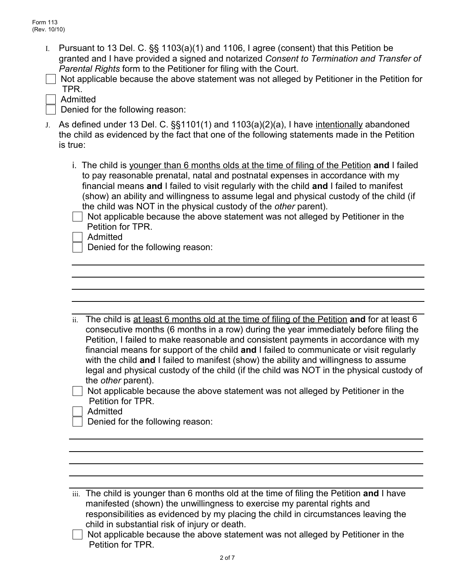I. Pursuant to 13 Del. C. §§ 1103(a)(1) and 1106, I agree (consent) that this Petition be granted and I have provided a signed and notarized *Consent to Termination and Transfer of Parental Rights* form to the Petitioner for filing with the Court.

| Not applicable because the above statement was not alleged by Petitioner in the Petition for |  |  |
|----------------------------------------------------------------------------------------------|--|--|
| TPR.                                                                                         |  |  |

Denied for the following reason:

- J. As defined under 13 Del. C. §§1101(1) and 1103(a)(2)(a), I have intentionally abandoned the child as evidenced by the fact that one of the following statements made in the Petition is true:
	- i. The child is younger than 6 months olds at the time of filing of the Petition **and** I failed to pay reasonable prenatal, natal and postnatal expenses in accordance with my financial means **and** I failed to visit regularly with the child **and** I failed to manifest (show) an ability and willingness to assume legal and physical custody of the child (if the child was NOT in the physical custody of the *other* parent).
		- Not applicable because the above statement was not alleged by Petitioner in the Petition for TPR.
		- Admitted

 

Denied for the following reason:

- ii. The child is at least 6 months old at the time of filing of the Petition **and** for at least 6 consecutive months (6 months in a row) during the year immediately before filing the Petition, I failed to make reasonable and consistent payments in accordance with my financial means for support of the child **and** I failed to communicate or visit regularly with the child **and** I failed to manifest (show) the ability and willingness to assume legal and physical custody of the child (if the child was NOT in the physical custody of the *other* parent).
	- Not applicable because the above statement was not alleged by Petitioner in the Petition for TPR.

Admitted

 

Denied for the following reason:

- iii. The child is younger than 6 months old at the time of filing the Petition **and** I have manifested (shown) the unwillingness to exercise my parental rights and responsibilities as evidenced by my placing the child in circumstances leaving the child in substantial risk of injury or death.
- Not applicable because the above statement was not alleged by Petitioner in the Petition for TPR.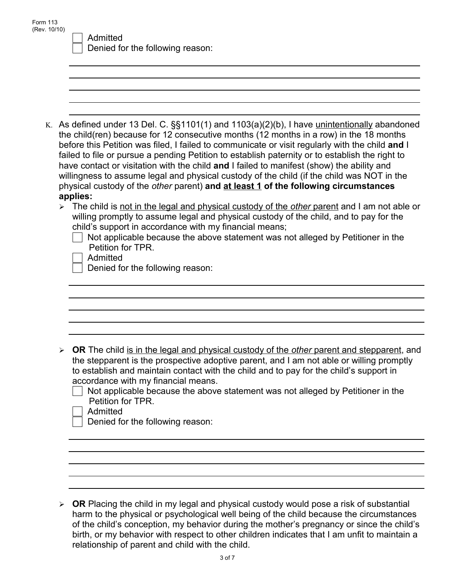| Form 113<br>(Rev. 10/10) | Admitted<br>Denied for the following reason:                                                                                                                                                                                                                                                                                                                                                                                                                                                                                                                                                                                                                                        |
|--------------------------|-------------------------------------------------------------------------------------------------------------------------------------------------------------------------------------------------------------------------------------------------------------------------------------------------------------------------------------------------------------------------------------------------------------------------------------------------------------------------------------------------------------------------------------------------------------------------------------------------------------------------------------------------------------------------------------|
|                          |                                                                                                                                                                                                                                                                                                                                                                                                                                                                                                                                                                                                                                                                                     |
|                          |                                                                                                                                                                                                                                                                                                                                                                                                                                                                                                                                                                                                                                                                                     |
|                          | K. As defined under 13 Del. C. $\S$ \$1101(1) and 1103(a)(2)(b), I have unintentionally abandoned<br>the child(ren) because for 12 consecutive months (12 months in a row) in the 18 months<br>before this Petition was filed, I failed to communicate or visit regularly with the child and I<br>failed to file or pursue a pending Petition to establish paternity or to establish the right to<br>have contact or visitation with the child and I failed to manifest (show) the ability and<br>willingness to assume legal and physical custody of the child (if the child was NOT in the<br>physical custody of the other parent) and at least 1 of the following circumstances |
|                          | applies:<br>> The child is not in the legal and physical custody of the other parent and I am not able or<br>willing promptly to assume legal and physical custody of the child, and to pay for the<br>child's support in accordance with my financial means;<br>Not applicable because the above statement was not alleged by Petitioner in the<br>Petition for TPR.<br>Admitted<br>Denied for the following reason:                                                                                                                                                                                                                                                               |
|                          |                                                                                                                                                                                                                                                                                                                                                                                                                                                                                                                                                                                                                                                                                     |
|                          |                                                                                                                                                                                                                                                                                                                                                                                                                                                                                                                                                                                                                                                                                     |
|                          | OR The child is in the legal and physical custody of the other parent and stepparent, and<br>the stepparent is the prospective adoptive parent, and I am not able or willing promptly<br>to establish and maintain contact with the child and to pay for the child's support in<br>accordance with my financial means.<br>Not applicable because the above statement was not alleged by Petitioner in the<br>Petition for TPR.<br>Admitted<br>Denied for the following reason:                                                                                                                                                                                                      |
|                          |                                                                                                                                                                                                                                                                                                                                                                                                                                                                                                                                                                                                                                                                                     |
|                          |                                                                                                                                                                                                                                                                                                                                                                                                                                                                                                                                                                                                                                                                                     |
| $\blacktriangleright$    | OR Placing the child in my legal and physical custody would pose a risk of substantial<br>harm to the physical or psychological well being of the child because the circumstances<br>of the child's conception, my behavior during the mother's pregnancy or since the child's                                                                                                                                                                                                                                                                                                                                                                                                      |

relationship of parent and child with the child.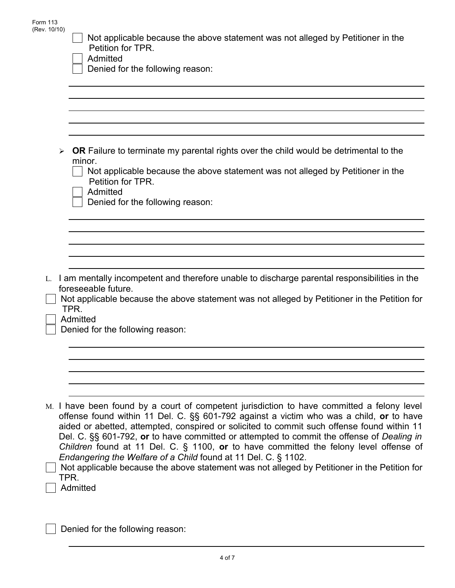| Form 113<br>(Rev. 10/10) | Not applicable because the above statement was not alleged by Petitioner in the<br>Petition for TPR.<br>Admitted<br>Denied for the following reason:                                                                                                                                                                                                                                                                                                                                                                                                                                                                                                            |  |  |  |  |  |
|--------------------------|-----------------------------------------------------------------------------------------------------------------------------------------------------------------------------------------------------------------------------------------------------------------------------------------------------------------------------------------------------------------------------------------------------------------------------------------------------------------------------------------------------------------------------------------------------------------------------------------------------------------------------------------------------------------|--|--|--|--|--|
|                          |                                                                                                                                                                                                                                                                                                                                                                                                                                                                                                                                                                                                                                                                 |  |  |  |  |  |
| ➤                        | <b>OR</b> Failure to terminate my parental rights over the child would be detrimental to the<br>minor.<br>Not applicable because the above statement was not alleged by Petitioner in the<br>Petition for TPR.<br>Admitted<br>Denied for the following reason:                                                                                                                                                                                                                                                                                                                                                                                                  |  |  |  |  |  |
|                          |                                                                                                                                                                                                                                                                                                                                                                                                                                                                                                                                                                                                                                                                 |  |  |  |  |  |
| L.                       | I am mentally incompetent and therefore unable to discharge parental responsibilities in the<br>foreseeable future.<br>Not applicable because the above statement was not alleged by Petitioner in the Petition for<br>TPR.<br>Admitted<br>Denied for the following reason:                                                                                                                                                                                                                                                                                                                                                                                     |  |  |  |  |  |
|                          |                                                                                                                                                                                                                                                                                                                                                                                                                                                                                                                                                                                                                                                                 |  |  |  |  |  |
|                          | M. I have been found by a court of competent jurisdiction to have committed a felony level<br>offense found within 11 Del. C. §§ 601-792 against a victim who was a child, or to have<br>aided or abetted, attempted, conspired or solicited to commit such offense found within 11<br>Del. C. §§ 601-792, or to have committed or attempted to commit the offense of Dealing in<br>Children found at 11 Del. C. § 1100, or to have committed the felony level offense of<br>Endangering the Welfare of a Child found at 11 Del. C. § 1102.<br>Not applicable because the above statement was not alleged by Petitioner in the Petition for<br>TPR.<br>Admitted |  |  |  |  |  |

 $\Box$  Denied for the following reason:

 $\sqrt{ }$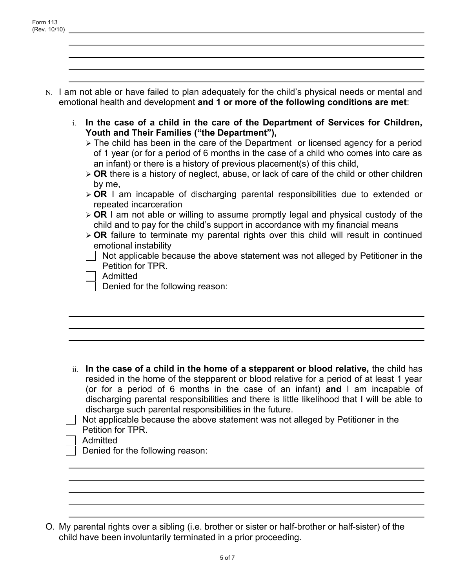| $\mathbf{i}$ . | In the case of a child in the care of the Department of Services for Children,<br>Youth and Their Families ("the Department"),<br>$\triangleright$ The child has been in the care of the Department or licensed agency for a period                                                                                  |
|----------------|----------------------------------------------------------------------------------------------------------------------------------------------------------------------------------------------------------------------------------------------------------------------------------------------------------------------|
|                | of 1 year (or for a period of 6 months in the case of a child who comes into care as<br>an infant) or there is a history of previous placement(s) of this child,<br>$\triangleright$ OR there is a history of neglect, abuse, or lack of care of the child or other children                                         |
|                | by me,                                                                                                                                                                                                                                                                                                               |
|                | $\triangleright$ OR I am incapable of discharging parental responsibilities due to extended or<br>repeated incarceration                                                                                                                                                                                             |
|                | $\triangleright$ OR I am not able or willing to assume promptly legal and physical custody of the<br>child and to pay for the child's support in accordance with my financial means<br>$\triangleright$ OR failure to terminate my parental rights over this child will result in continued<br>emotional instability |
|                | Not applicable because the above statement was not alleged by Petitioner in the<br>Petition for TPR.                                                                                                                                                                                                                 |
|                | Admitted<br>Denied for the following reason:                                                                                                                                                                                                                                                                         |
|                |                                                                                                                                                                                                                                                                                                                      |
|                |                                                                                                                                                                                                                                                                                                                      |

ii. **In the case of a child in the home of a stepparent or blood relative,** the child has resided in the home of the stepparent or blood relative for a period of at least 1 year (or for a period of 6 months in the case of an infant) **and** I am incapable of discharging parental responsibilities and there is little likelihood that I will be able to discharge such parental responsibilities in the future.

| Not applicable because the above statement was not alleged by Petitioner in the |  |  |  |  |
|---------------------------------------------------------------------------------|--|--|--|--|
| Petition for TPR.                                                               |  |  |  |  |

Admitted

 

Denied for the following reason:

O. My parental rights over a sibling (i.e. brother or sister or half-brother or half-sister) of the child have been involuntarily terminated in a prior proceeding.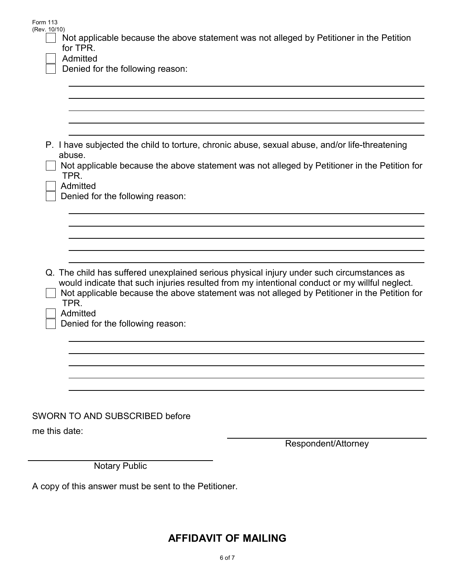| Form 113<br>(Rev. 10/10)<br>Not applicable because the above statement was not alleged by Petitioner in the Petition<br>for TPR.<br>Admitted<br>Denied for the following reason:                                                                                                                                                                   |
|----------------------------------------------------------------------------------------------------------------------------------------------------------------------------------------------------------------------------------------------------------------------------------------------------------------------------------------------------|
|                                                                                                                                                                                                                                                                                                                                                    |
|                                                                                                                                                                                                                                                                                                                                                    |
| P. I have subjected the child to torture, chronic abuse, sexual abuse, and/or life-threatening<br>abuse.                                                                                                                                                                                                                                           |
| Not applicable because the above statement was not alleged by Petitioner in the Petition for<br>TPR.                                                                                                                                                                                                                                               |
| Admitted<br>Denied for the following reason:                                                                                                                                                                                                                                                                                                       |
|                                                                                                                                                                                                                                                                                                                                                    |
|                                                                                                                                                                                                                                                                                                                                                    |
| Q. The child has suffered unexplained serious physical injury under such circumstances as<br>would indicate that such injuries resulted from my intentional conduct or my willful neglect.<br>Not applicable because the above statement was not alleged by Petitioner in the Petition for<br>TPR.<br>Admitted<br>Denied for the following reason: |
|                                                                                                                                                                                                                                                                                                                                                    |
|                                                                                                                                                                                                                                                                                                                                                    |
|                                                                                                                                                                                                                                                                                                                                                    |
| SWORN TO AND SUBSCRIBED before                                                                                                                                                                                                                                                                                                                     |
| me this date:                                                                                                                                                                                                                                                                                                                                      |
| Respondent/Attorney                                                                                                                                                                                                                                                                                                                                |
| <b>Notary Public</b>                                                                                                                                                                                                                                                                                                                               |
| A copy of this answer must be sent to the Petitioner.                                                                                                                                                                                                                                                                                              |

## **AFFIDAVIT OF MAILING**